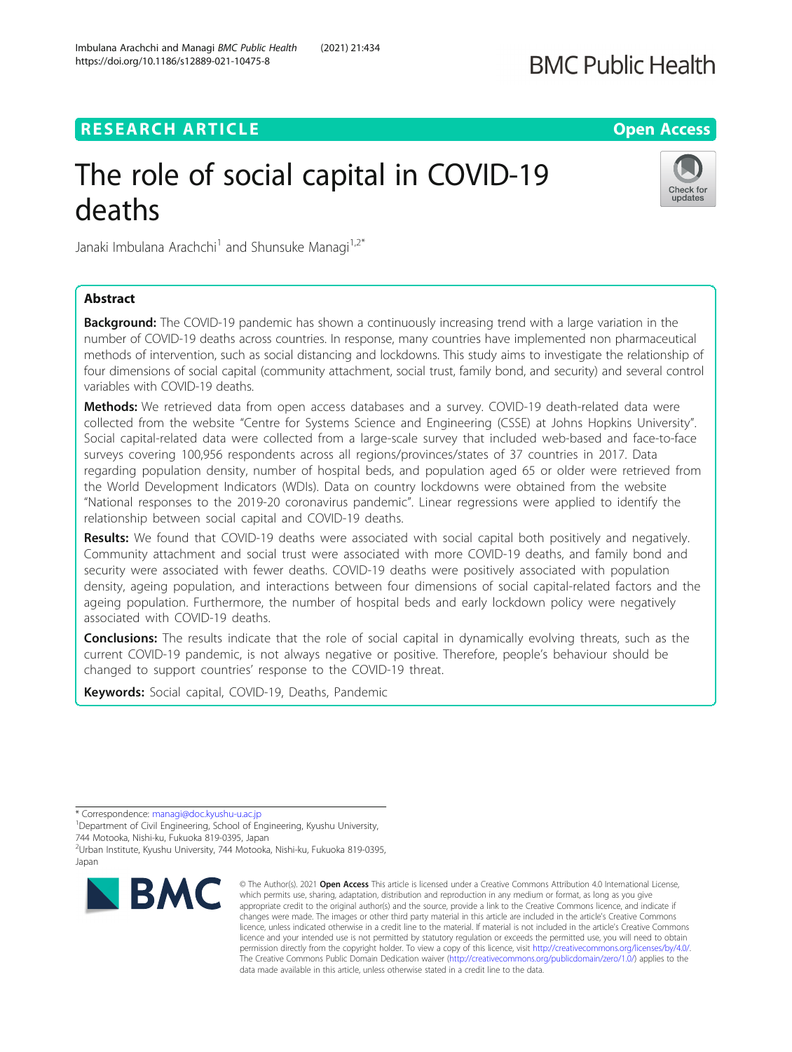# **RESEARCH ARTICLE External Structure Community Community Community Community Community Community Community Community**

# The role of social capital in COVID-19 deaths

Janaki Imbulana Arachchi<sup>1</sup> and Shunsuke Managi<sup>1,2\*</sup>

# Abstract

**Background:** The COVID-19 pandemic has shown a continuously increasing trend with a large variation in the number of COVID-19 deaths across countries. In response, many countries have implemented non pharmaceutical methods of intervention, such as social distancing and lockdowns. This study aims to investigate the relationship of four dimensions of social capital (community attachment, social trust, family bond, and security) and several control variables with COVID-19 deaths.

Methods: We retrieved data from open access databases and a survey. COVID-19 death-related data were collected from the website "Centre for Systems Science and Engineering (CSSE) at Johns Hopkins University". Social capital-related data were collected from a large-scale survey that included web-based and face-to-face surveys covering 100,956 respondents across all regions/provinces/states of 37 countries in 2017. Data regarding population density, number of hospital beds, and population aged 65 or older were retrieved from the World Development Indicators (WDIs). Data on country lockdowns were obtained from the website "National responses to the 2019-20 coronavirus pandemic". Linear regressions were applied to identify the relationship between social capital and COVID-19 deaths.

Results: We found that COVID-19 deaths were associated with social capital both positively and negatively. Community attachment and social trust were associated with more COVID-19 deaths, and family bond and security were associated with fewer deaths. COVID-19 deaths were positively associated with population density, ageing population, and interactions between four dimensions of social capital-related factors and the ageing population. Furthermore, the number of hospital beds and early lockdown policy were negatively associated with COVID-19 deaths.

**Conclusions:** The results indicate that the role of social capital in dynamically evolving threats, such as the current COVID-19 pandemic, is not always negative or positive. Therefore, people's behaviour should be changed to support countries' response to the COVID-19 threat.

Keywords: Social capital, COVID-19, Deaths, Pandemic

© The Author(s), 2021 **Open Access** This article is licensed under a Creative Commons Attribution 4.0 International License, which permits use, sharing, adaptation, distribution and reproduction in any medium or format, as long as you give appropriate credit to the original author(s) and the source, provide a link to the Creative Commons licence, and indicate if changes were made. The images or other third party material in this article are included in the article's Creative Commons licence, unless indicated otherwise in a credit line to the material. If material is not included in the article's Creative Commons licence and your intended use is not permitted by statutory regulation or exceeds the permitted use, you will need to obtain permission directly from the copyright holder. To view a copy of this licence, visit [http://creativecommons.org/licenses/by/4.0/.](http://creativecommons.org/licenses/by/4.0/) The Creative Commons Public Domain Dedication waiver [\(http://creativecommons.org/publicdomain/zero/1.0/](http://creativecommons.org/publicdomain/zero/1.0/)) applies to the data made available in this article, unless otherwise stated in a credit line to the data.

744 Motooka, Nishi-ku, Fukuoka 819-0395, Japan

**BMC** 





<sup>\*</sup> Correspondence: [managi@doc.kyushu-u.ac.jp](mailto:managi@doc.kyushu-u.ac.jp) <sup>1</sup>

<sup>&</sup>lt;sup>1</sup>Department of Civil Engineering, School of Engineering, Kyushu University,

<sup>2</sup> Urban Institute, Kyushu University, 744 Motooka, Nishi-ku, Fukuoka 819-0395,

Japan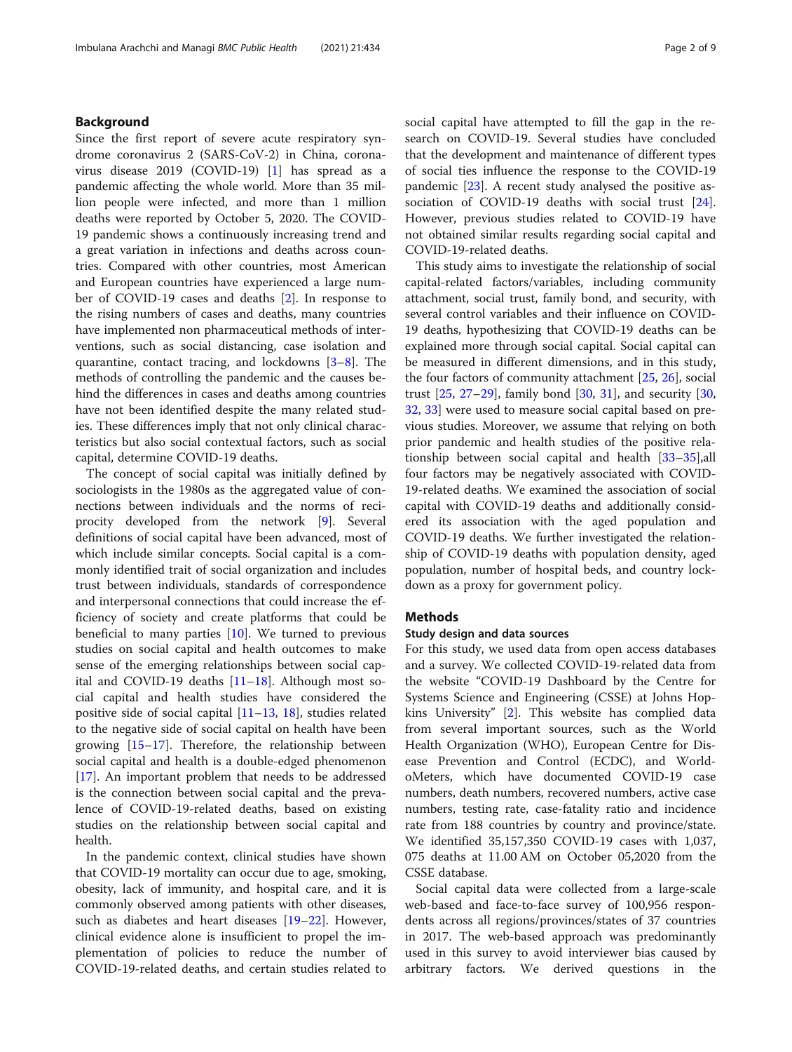# Background

Since the first report of severe acute respiratory syndrome coronavirus 2 (SARS-CoV-2) in China, coronavirus disease 2019 (COVID-19) [\[1](#page-7-0)] has spread as a pandemic affecting the whole world. More than 35 million people were infected, and more than 1 million deaths were reported by October 5, 2020. The COVID-19 pandemic shows a continuously increasing trend and a great variation in infections and deaths across countries. Compared with other countries, most American and European countries have experienced a large number of COVID-19 cases and deaths [\[2](#page-7-0)]. In response to the rising numbers of cases and deaths, many countries have implemented non pharmaceutical methods of interventions, such as social distancing, case isolation and quarantine, contact tracing, and lockdowns [\[3](#page-7-0)–[8](#page-7-0)]. The methods of controlling the pandemic and the causes behind the differences in cases and deaths among countries have not been identified despite the many related studies. These differences imply that not only clinical characteristics but also social contextual factors, such as social capital, determine COVID-19 deaths.

The concept of social capital was initially defined by sociologists in the 1980s as the aggregated value of connections between individuals and the norms of reciprocity developed from the network [\[9](#page-7-0)]. Several definitions of social capital have been advanced, most of which include similar concepts. Social capital is a commonly identified trait of social organization and includes trust between individuals, standards of correspondence and interpersonal connections that could increase the efficiency of society and create platforms that could be beneficial to many parties  $[10]$  $[10]$ . We turned to previous studies on social capital and health outcomes to make sense of the emerging relationships between social capital and COVID-19 deaths [[11](#page-7-0)–[18](#page-8-0)]. Although most social capital and health studies have considered the positive side of social capital [\[11](#page-7-0)–[13](#page-7-0), [18](#page-8-0)], studies related to the negative side of social capital on health have been growing  $[15-17]$  $[15-17]$  $[15-17]$  $[15-17]$  $[15-17]$ . Therefore, the relationship between social capital and health is a double-edged phenomenon [[17\]](#page-8-0). An important problem that needs to be addressed is the connection between social capital and the prevalence of COVID-19-related deaths, based on existing studies on the relationship between social capital and health.

In the pandemic context, clinical studies have shown that COVID-19 mortality can occur due to age, smoking, obesity, lack of immunity, and hospital care, and it is commonly observed among patients with other diseases, such as diabetes and heart diseases [\[19](#page-8-0)–[22\]](#page-8-0). However, clinical evidence alone is insufficient to propel the implementation of policies to reduce the number of COVID-19-related deaths, and certain studies related to social capital have attempted to fill the gap in the research on COVID-19. Several studies have concluded that the development and maintenance of different types of social ties influence the response to the COVID-19 pandemic [[23](#page-8-0)]. A recent study analysed the positive association of COVID-19 deaths with social trust [\[24](#page-8-0)]. However, previous studies related to COVID-19 have not obtained similar results regarding social capital and COVID-19-related deaths.

This study aims to investigate the relationship of social capital-related factors/variables, including community attachment, social trust, family bond, and security, with several control variables and their influence on COVID-19 deaths, hypothesizing that COVID-19 deaths can be explained more through social capital. Social capital can be measured in different dimensions, and in this study, the four factors of community attachment [[25,](#page-8-0) [26\]](#page-8-0), social trust [\[25](#page-8-0), [27](#page-8-0)–[29](#page-8-0)], family bond [[30,](#page-8-0) [31](#page-8-0)], and security [[30](#page-8-0), [32,](#page-8-0) [33](#page-8-0)] were used to measure social capital based on previous studies. Moreover, we assume that relying on both prior pandemic and health studies of the positive relationship between social capital and health [\[33](#page-8-0)–[35\]](#page-8-0),all four factors may be negatively associated with COVID-19-related deaths. We examined the association of social capital with COVID-19 deaths and additionally considered its association with the aged population and COVID-19 deaths. We further investigated the relationship of COVID-19 deaths with population density, aged population, number of hospital beds, and country lockdown as a proxy for government policy.

# Methods

### Study design and data sources

For this study, we used data from open access databases and a survey. We collected COVID-19-related data from the website "COVID-19 Dashboard by the Centre for Systems Science and Engineering (CSSE) at Johns Hopkins University" [[2\]](#page-7-0). This website has complied data from several important sources, such as the World Health Organization (WHO), European Centre for Disease Prevention and Control (ECDC), and WorldoMeters, which have documented COVID-19 case numbers, death numbers, recovered numbers, active case numbers, testing rate, case-fatality ratio and incidence rate from 188 countries by country and province/state. We identified 35,157,350 COVID-19 cases with 1,037, 075 deaths at 11.00 AM on October 05,2020 from the CSSE database.

Social capital data were collected from a large-scale web-based and face-to-face survey of 100,956 respondents across all regions/provinces/states of 37 countries in 2017. The web-based approach was predominantly used in this survey to avoid interviewer bias caused by arbitrary factors. We derived questions in the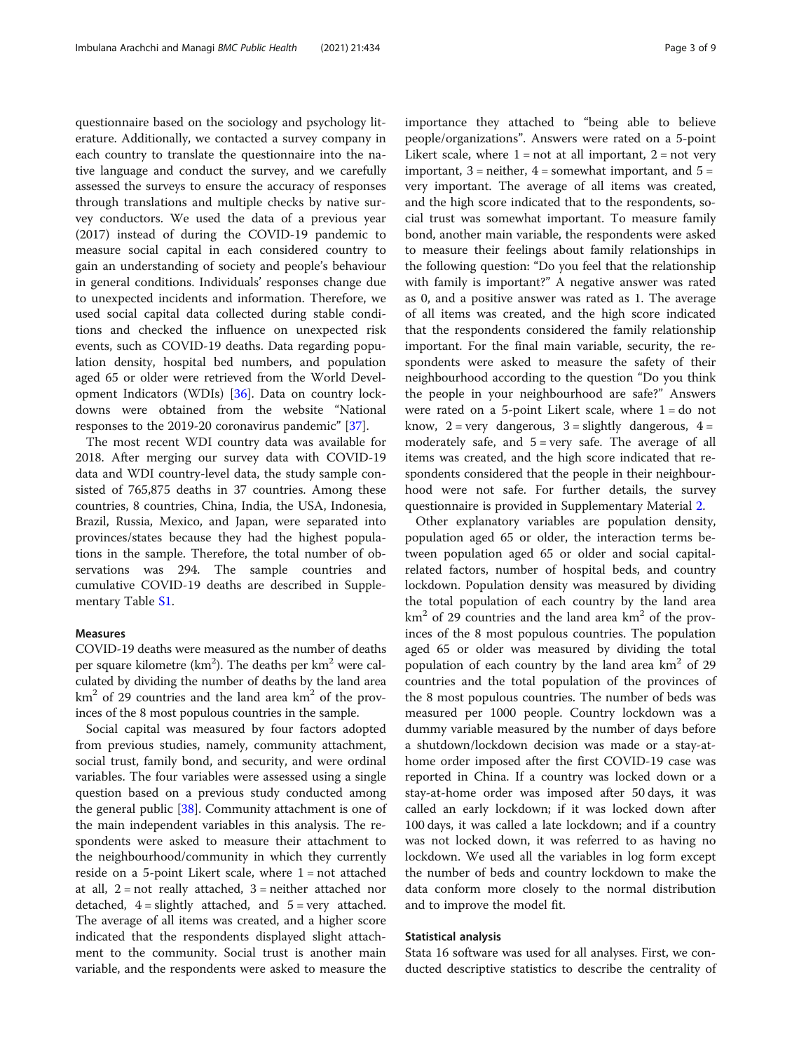questionnaire based on the sociology and psychology literature. Additionally, we contacted a survey company in each country to translate the questionnaire into the native language and conduct the survey, and we carefully assessed the surveys to ensure the accuracy of responses through translations and multiple checks by native survey conductors. We used the data of a previous year (2017) instead of during the COVID-19 pandemic to measure social capital in each considered country to gain an understanding of society and people's behaviour in general conditions. Individuals' responses change due to unexpected incidents and information. Therefore, we used social capital data collected during stable conditions and checked the influence on unexpected risk events, such as COVID-19 deaths. Data regarding population density, hospital bed numbers, and population aged 65 or older were retrieved from the World Development Indicators (WDIs) [\[36\]](#page-8-0). Data on country lockdowns were obtained from the website "National responses to the 2019-20 coronavirus pandemic" [[37](#page-8-0)].

The most recent WDI country data was available for 2018. After merging our survey data with COVID-19 data and WDI country-level data, the study sample consisted of 765,875 deaths in 37 countries. Among these countries, 8 countries, China, India, the USA, Indonesia, Brazil, Russia, Mexico, and Japan, were separated into provinces/states because they had the highest populations in the sample. Therefore, the total number of observations was 294. The sample countries and cumulative COVID-19 deaths are described in Supplementary Table [S1](#page-7-0).

#### Measures

COVID-19 deaths were measured as the number of deaths per square kilometre (km<sup>2</sup>). The deaths per km<sup>2</sup> were calculated by dividing the number of deaths by the land area  $km<sup>2</sup>$  of 29 countries and the land area  $km<sup>2</sup>$  of the provinces of the 8 most populous countries in the sample.

Social capital was measured by four factors adopted from previous studies, namely, community attachment, social trust, family bond, and security, and were ordinal variables. The four variables were assessed using a single question based on a previous study conducted among the general public  $[38]$  $[38]$ . Community attachment is one of the main independent variables in this analysis. The respondents were asked to measure their attachment to the neighbourhood/community in which they currently reside on a 5-point Likert scale, where  $1 = not$  attached at all,  $2 = not$  really attached,  $3 = neither$  attached nor detached,  $4 =$  slightly attached, and  $5 =$  very attached. The average of all items was created, and a higher score indicated that the respondents displayed slight attachment to the community. Social trust is another main variable, and the respondents were asked to measure the importance they attached to "being able to believe people/organizations". Answers were rated on a 5-point Likert scale, where  $1 = not$  at all important,  $2 = not$  very important,  $3$  = neither,  $4$  = somewhat important, and  $5$  = very important. The average of all items was created, and the high score indicated that to the respondents, social trust was somewhat important. To measure family bond, another main variable, the respondents were asked to measure their feelings about family relationships in the following question: "Do you feel that the relationship with family is important?" A negative answer was rated as 0, and a positive answer was rated as 1. The average of all items was created, and the high score indicated that the respondents considered the family relationship important. For the final main variable, security, the respondents were asked to measure the safety of their neighbourhood according to the question "Do you think the people in your neighbourhood are safe?" Answers were rated on a 5-point Likert scale, where  $1 =$  do not know,  $2 = \text{very dangerous}, 3 = \text{slightly dangerous}, 4 =$ moderately safe, and  $5 = very$  safe. The average of all items was created, and the high score indicated that respondents considered that the people in their neighbourhood were not safe. For further details, the survey questionnaire is provided in Supplementary Material [2](#page-7-0).

Other explanatory variables are population density, population aged 65 or older, the interaction terms between population aged 65 or older and social capitalrelated factors, number of hospital beds, and country lockdown. Population density was measured by dividing the total population of each country by the land area  $km<sup>2</sup>$  of 29 countries and the land area  $km<sup>2</sup>$  of the provinces of the 8 most populous countries. The population aged 65 or older was measured by dividing the total population of each country by the land area  $km^2$  of 29 countries and the total population of the provinces of the 8 most populous countries. The number of beds was measured per 1000 people. Country lockdown was a dummy variable measured by the number of days before a shutdown/lockdown decision was made or a stay-athome order imposed after the first COVID-19 case was reported in China. If a country was locked down or a stay-at-home order was imposed after 50 days, it was called an early lockdown; if it was locked down after 100 days, it was called a late lockdown; and if a country was not locked down, it was referred to as having no lockdown. We used all the variables in log form except the number of beds and country lockdown to make the data conform more closely to the normal distribution and to improve the model fit.

#### Statistical analysis

Stata 16 software was used for all analyses. First, we conducted descriptive statistics to describe the centrality of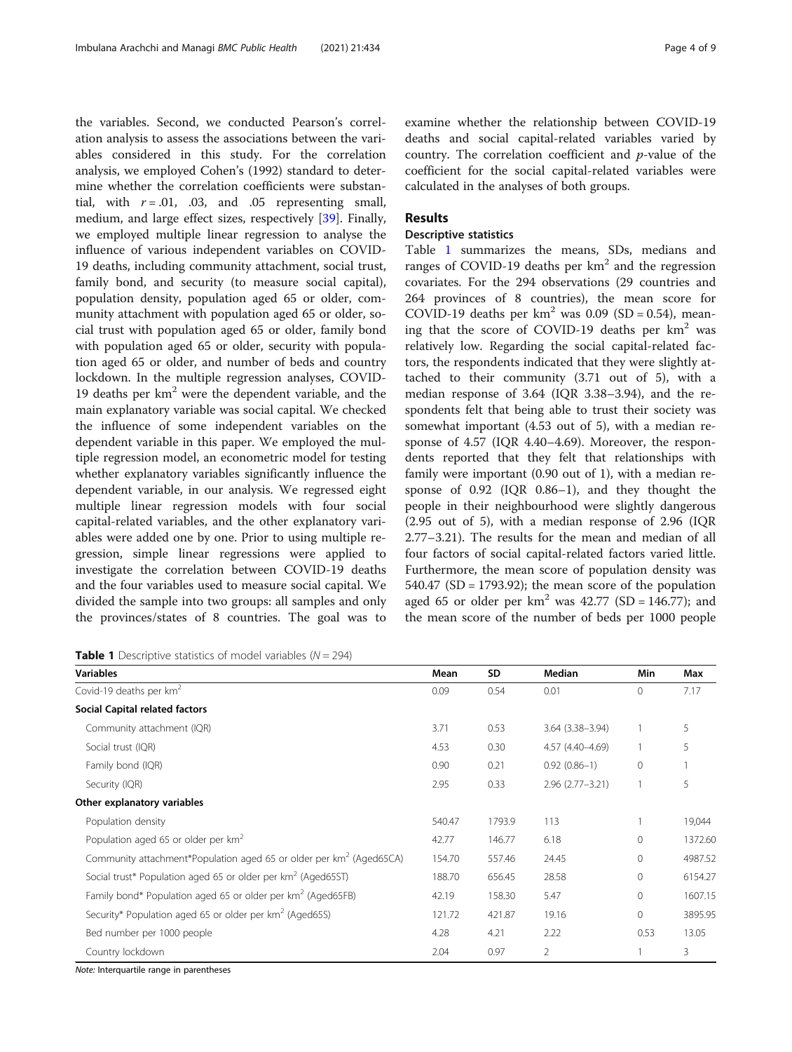the variables. Second, we conducted Pearson's correlation analysis to assess the associations between the variables considered in this study. For the correlation analysis, we employed Cohen's (1992) standard to determine whether the correlation coefficients were substantial, with  $r = .01$ , .03, and .05 representing small, medium, and large effect sizes, respectively [[39\]](#page-8-0). Finally, we employed multiple linear regression to analyse the influence of various independent variables on COVID-19 deaths, including community attachment, social trust, family bond, and security (to measure social capital), population density, population aged 65 or older, community attachment with population aged 65 or older, social trust with population aged 65 or older, family bond with population aged 65 or older, security with population aged 65 or older, and number of beds and country lockdown. In the multiple regression analyses, COVID-19 deaths per  $km^2$  were the dependent variable, and the main explanatory variable was social capital. We checked the influence of some independent variables on the dependent variable in this paper. We employed the multiple regression model, an econometric model for testing whether explanatory variables significantly influence the dependent variable, in our analysis. We regressed eight multiple linear regression models with four social capital-related variables, and the other explanatory variables were added one by one. Prior to using multiple regression, simple linear regressions were applied to investigate the correlation between COVID-19 deaths and the four variables used to measure social capital. We divided the sample into two groups: all samples and only the provinces/states of 8 countries. The goal was to

**Table 1** Descriptive statistics of model variables ( $N = 294$ )

# Results

# Descriptive statistics

Table 1 summarizes the means, SDs, medians and ranges of COVID-19 deaths per  $km<sup>2</sup>$  and the regression covariates. For the 294 observations (29 countries and 264 provinces of 8 countries), the mean score for COVID-19 deaths per  $km^2$  was 0.09 (SD = 0.54), meaning that the score of COVID-19 deaths per  $km<sup>2</sup>$  was relatively low. Regarding the social capital-related factors, the respondents indicated that they were slightly attached to their community (3.71 out of 5), with a median response of 3.64 (IQR 3.38–3.94), and the respondents felt that being able to trust their society was somewhat important (4.53 out of 5), with a median response of 4.57 (IQR 4.40–4.69). Moreover, the respondents reported that they felt that relationships with family were important (0.90 out of 1), with a median response of 0.92 (IQR 0.86–1), and they thought the people in their neighbourhood were slightly dangerous (2.95 out of 5), with a median response of 2.96 (IQR 2.77–3.21). The results for the mean and median of all four factors of social capital-related factors varied little. Furthermore, the mean score of population density was  $540.47$  (SD = 1793.92); the mean score of the population aged 65 or older per  $km^2$  was 42.77 (SD = 146.77); and the mean score of the number of beds per 1000 people

| <b>Variables</b>                                                                | Mean | SD     | Median                 | Min          | Max     |
|---------------------------------------------------------------------------------|------|--------|------------------------|--------------|---------|
| Covid-19 deaths per $km^2$                                                      | 0.09 | 0.54   | 0.01                   | $\Omega$     | 7.17    |
| Social Capital related factors                                                  |      |        |                        |              |         |
| Community attachment (IQR)                                                      | 3.71 | 0.53   | $3.64$ $(3.38 - 3.94)$ |              | 5       |
| Social trust (IQR)                                                              | 4.53 | 0.30   | 4.57 (4.40-4.69)       |              | 5       |
| Family bond (IQR)                                                               |      | 0.21   | $0.92(0.86-1)$         | $\mathbf{0}$ |         |
| Security (IQR)                                                                  | 2.95 | 0.33   | $2.96(2.77 - 3.21)$    |              | 5       |
| Other explanatory variables                                                     |      |        |                        |              |         |
| Population density                                                              |      | 1793.9 | 113                    |              | 19,044  |
| Population aged 65 or older per km <sup>2</sup>                                 |      | 146.77 | 6.18                   | $\mathbf{0}$ | 1372.60 |
| Community attachment*Population aged 65 or older per km <sup>2</sup> (Aged65CA) |      | 557.46 | 24.45                  | $\mathbf{0}$ | 4987.52 |
| Social trust* Population aged 65 or older per km <sup>2</sup> (Aged65ST)        |      | 656.45 | 28.58                  | $\mathbf{0}$ | 6154.27 |
| Family bond* Population aged 65 or older per $km2$ (Aged65FB)                   |      | 158.30 | 5.47                   | $\mathbf{0}$ | 1607.15 |
| Security* Population aged 65 or older per km <sup>2</sup> (Aged65S)             |      | 421.87 | 19.16                  | $\mathbf{0}$ | 3895.95 |
| Bed number per 1000 people                                                      |      | 4.21   | 2.22                   | 0.53         | 13.05   |
| Country lockdown                                                                | 2.04 | 0.97   | 2                      |              | 3       |

Note: Interquartile range in parentheses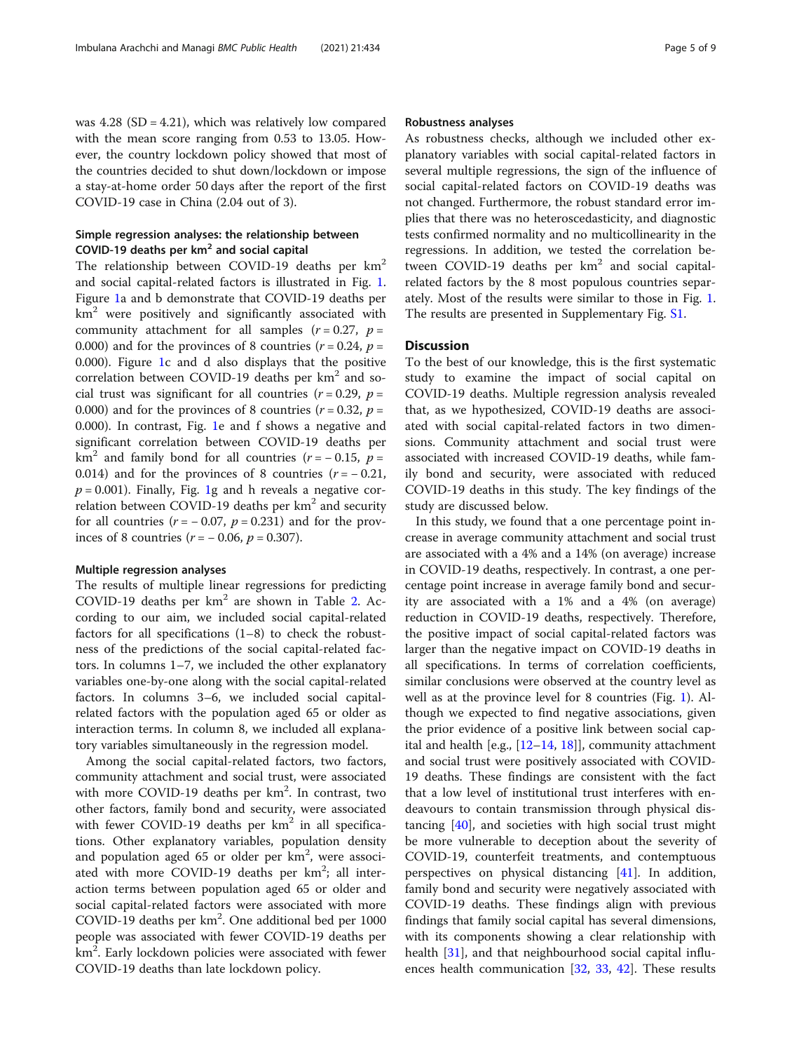was  $4.28$  (SD =  $4.21$ ), which was relatively low compared with the mean score ranging from 0.53 to 13.05. However, the country lockdown policy showed that most of the countries decided to shut down/lockdown or impose a stay-at-home order 50 days after the report of the first COVID-19 case in China (2.04 out of 3).

# Simple regression analyses: the relationship between COVID-19 deaths per  $km<sup>2</sup>$  and social capital

The relationship between COVID-19 deaths per  $km^2$ and social capital-related factors is illustrated in Fig. [1](#page-5-0). Figure [1a](#page-5-0) and b demonstrate that COVID-19 deaths per  $km<sup>2</sup>$  were positively and significantly associated with community attachment for all samples  $(r = 0.27, p =$ 0.000) and for the provinces of 8 countries ( $r = 0.24$ ,  $p =$ 0.000). Figure [1](#page-5-0)c and d also displays that the positive correlation between COVID-19 deaths per  $km<sup>2</sup>$  and social trust was significant for all countries  $(r = 0.29, p =$ 0.000) and for the provinces of 8 countries ( $r = 0.32$ ,  $p =$ 0.000). In contrast, Fig. [1](#page-5-0)e and f shows a negative and significant correlation between COVID-19 deaths per km<sup>2</sup> and family bond for all countries ( $r = -0.15$ ,  $p =$ 0.014) and for the provinces of 8 countries  $(r = -0.21,$  $p = 0.001$  $p = 0.001$ ). Finally, Fig. 1g and h reveals a negative correlation between COVID-19 deaths per  $km<sup>2</sup>$  and security for all countries  $(r = -0.07, p = 0.231)$  and for the provinces of 8 countries  $(r = -0.06, p = 0.307)$ .

#### Multiple regression analyses

The results of multiple linear regressions for predicting COVID-19 deaths per  $km^2$  are shown in Table [2.](#page-6-0) According to our aim, we included social capital-related factors for all specifications  $(1-8)$  to check the robustness of the predictions of the social capital-related factors. In columns 1–7, we included the other explanatory variables one-by-one along with the social capital-related factors. In columns 3–6, we included social capitalrelated factors with the population aged 65 or older as interaction terms. In column 8, we included all explanatory variables simultaneously in the regression model.

Among the social capital-related factors, two factors, community attachment and social trust, were associated with more COVID-19 deaths per km<sup>2</sup>. In contrast, two other factors, family bond and security, were associated with fewer COVID-19 deaths per  $km^2$  in all specifications. Other explanatory variables, population density and population aged  $65$  or older per  $km^2$ , were associated with more COVID-19 deaths per km<sup>2</sup>; all interaction terms between population aged 65 or older and social capital-related factors were associated with more COVID-19 deaths per km<sup>2</sup>. One additional bed per 1000 people was associated with fewer COVID-19 deaths per km<sup>2</sup>. Early lockdown policies were associated with fewer COVID-19 deaths than late lockdown policy.

## Robustness analyses

As robustness checks, although we included other explanatory variables with social capital-related factors in several multiple regressions, the sign of the influence of social capital-related factors on COVID-19 deaths was not changed. Furthermore, the robust standard error implies that there was no heteroscedasticity, and diagnostic tests confirmed normality and no multicollinearity in the regressions. In addition, we tested the correlation between COVID-19 deaths per  $km<sup>2</sup>$  and social capitalrelated factors by the 8 most populous countries separately. Most of the results were similar to those in Fig. [1](#page-5-0). The results are presented in Supplementary Fig. [S1](#page-7-0).

# **Discussion**

To the best of our knowledge, this is the first systematic study to examine the impact of social capital on COVID-19 deaths. Multiple regression analysis revealed that, as we hypothesized, COVID-19 deaths are associated with social capital-related factors in two dimensions. Community attachment and social trust were associated with increased COVID-19 deaths, while family bond and security, were associated with reduced COVID-19 deaths in this study. The key findings of the study are discussed below.

In this study, we found that a one percentage point increase in average community attachment and social trust are associated with a 4% and a 14% (on average) increase in COVID-19 deaths, respectively. In contrast, a one percentage point increase in average family bond and security are associated with a 1% and a 4% (on average) reduction in COVID-19 deaths, respectively. Therefore, the positive impact of social capital-related factors was larger than the negative impact on COVID-19 deaths in all specifications. In terms of correlation coefficients, similar conclusions were observed at the country level as well as at the province level for 8 countries (Fig. [1\)](#page-5-0). Although we expected to find negative associations, given the prior evidence of a positive link between social capital and health [e.g., [\[12](#page-7-0)–[14,](#page-7-0) [18\]](#page-8-0)], community attachment and social trust were positively associated with COVID-19 deaths. These findings are consistent with the fact that a low level of institutional trust interferes with endeavours to contain transmission through physical distancing [\[40](#page-8-0)], and societies with high social trust might be more vulnerable to deception about the severity of COVID-19, counterfeit treatments, and contemptuous perspectives on physical distancing [[41\]](#page-8-0). In addition, family bond and security were negatively associated with COVID-19 deaths. These findings align with previous findings that family social capital has several dimensions, with its components showing a clear relationship with health [[31](#page-8-0)], and that neighbourhood social capital influences health communication [[32,](#page-8-0) [33,](#page-8-0) [42\]](#page-8-0). These results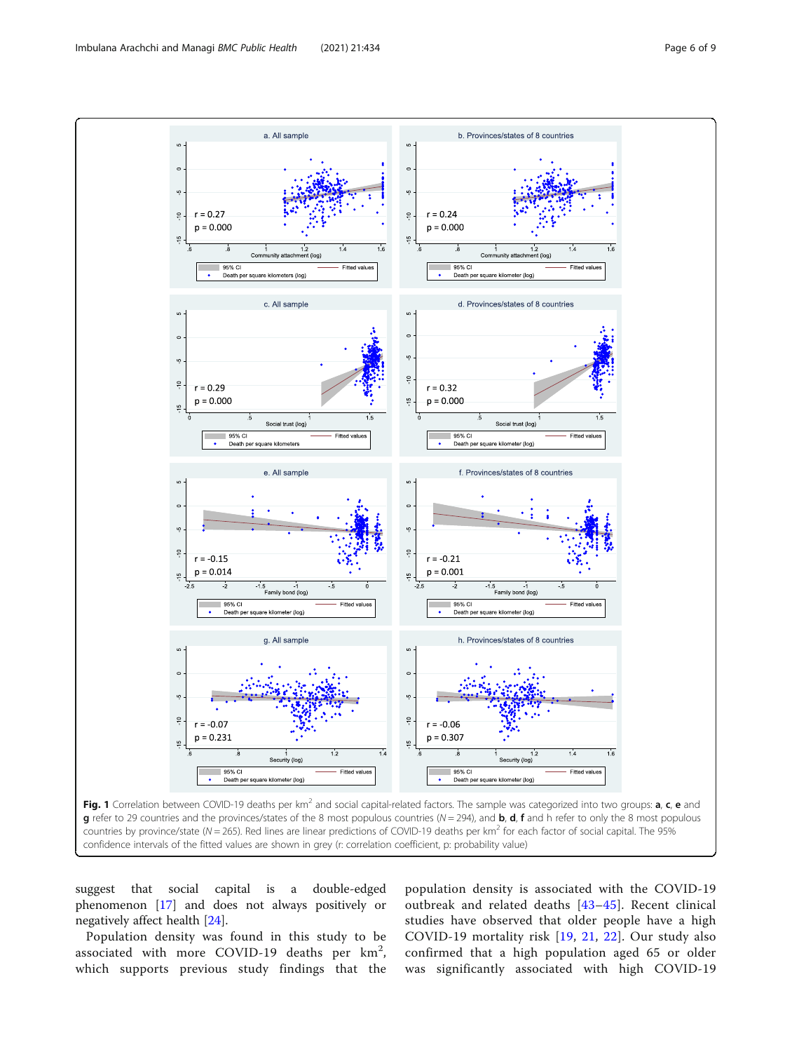<span id="page-5-0"></span>

suggest that social capital is a double-edged phenomenon [\[17\]](#page-8-0) and does not always positively or negatively affect health [\[24](#page-8-0)].

Population density was found in this study to be associated with more COVID-19 deaths per  $km^2$ , which supports previous study findings that the

population density is associated with the COVID-19 outbreak and related deaths [\[43](#page-8-0)–[45\]](#page-8-0). Recent clinical studies have observed that older people have a high COVID-19 mortality risk [[19](#page-8-0), [21,](#page-8-0) [22](#page-8-0)]. Our study also confirmed that a high population aged 65 or older was significantly associated with high COVID-19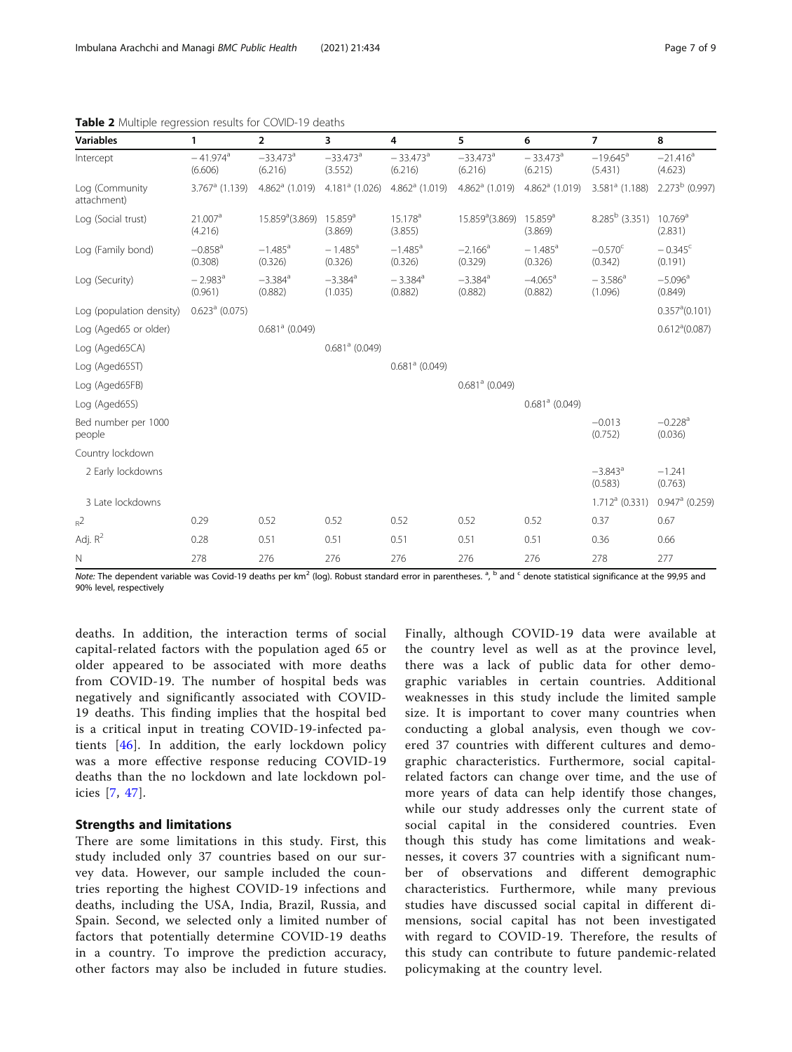|  | Page 7 |  | of 9 |  |
|--|--------|--|------|--|
|--|--------|--|------|--|

| <b>Variables</b>              | 1                                 | $\overline{2}$                    | 3                                 | 4                                 | 5                                 | 6                                 | $\overline{7}$                    | 8                                 |
|-------------------------------|-----------------------------------|-----------------------------------|-----------------------------------|-----------------------------------|-----------------------------------|-----------------------------------|-----------------------------------|-----------------------------------|
| Intercept                     | $-41.974$ <sup>a</sup><br>(6.606) | $-33.473$ <sup>a</sup><br>(6.216) | $-33.473$ <sup>a</sup><br>(3.552) | $-33.473$ <sup>a</sup><br>(6.216) | $-33.473$ <sup>a</sup><br>(6.216) | $-33.473$ <sup>a</sup><br>(6.215) | $-19.645$ <sup>a</sup><br>(5.431) | $-21.416$ <sup>a</sup><br>(4.623) |
| Log (Community<br>attachment) | $3.767$ <sup>a</sup> (1.139)      |                                   | $4.862a$ (1.019) $4.181a$ (1.026) | $4.862a$ (1.019)                  | $4.862$ <sup>a</sup> (1.019)      | $4.862a$ (1.019)                  | $3.581a$ (1.188)                  | $2.273b$ (0.997)                  |
| Log (Social trust)            | 21.007 <sup>a</sup><br>(4.216)    | 15.859 <sup>a</sup> (3.869)       | $15.859$ <sup>a</sup><br>(3.869)  | $15.178$ <sup>a</sup><br>(3.855)  | 15.859 <sup>a</sup> (3.869)       | $15.859$ <sup>a</sup><br>(3.869)  | $8.285b$ (3.351)                  | $10.769$ <sup>a</sup><br>(2.831)  |
| Log (Family bond)             | $-0.858$ <sup>a</sup><br>(0.308)  | $-1.485$ <sup>a</sup><br>(0.326)  | $-1.485$ <sup>a</sup><br>(0.326)  | $-1.485$ <sup>a</sup><br>(0.326)  | $-2.166^a$<br>(0.329)             | $-1.485$ <sup>a</sup><br>(0.326)  | $-0.570^{\circ}$<br>(0.342)       | $-0.345^{\circ}$<br>(0.191)       |
| Log (Security)                | $-2.983$ <sup>a</sup><br>(0.961)  | $-3.384$ <sup>a</sup><br>(0.882)  | $-3.384$ <sup>a</sup><br>(1.035)  | $-3.384$ <sup>a</sup><br>(0.882)  | $-3.384$ <sup>a</sup><br>(0.882)  | $-4.065$ <sup>a</sup><br>(0.882)  | $-3.586^a$<br>(1.096)             | $-5.096$ <sup>a</sup><br>(0.849)  |
| Log (population density)      | $0.623a$ (0.075)                  |                                   |                                   |                                   |                                   |                                   |                                   | 0.357 <sup>a</sup> (0.101)        |
| Log (Aged65 or older)         |                                   | $0.681a$ (0.049)                  |                                   |                                   |                                   |                                   |                                   | 0.612 <sup>a</sup> (0.087)        |
| Log (Aged65CA)                |                                   |                                   | $0.681a$ (0.049)                  |                                   |                                   |                                   |                                   |                                   |
| Log (Aged65ST)                |                                   |                                   |                                   | $0.681a$ (0.049)                  |                                   |                                   |                                   |                                   |
| Log (Aged65FB)                |                                   |                                   |                                   |                                   | $0.681a$ (0.049)                  |                                   |                                   |                                   |
| Log (Aged65S)                 |                                   |                                   |                                   |                                   |                                   | $0.681a$ (0.049)                  |                                   |                                   |
| Bed number per 1000<br>people |                                   |                                   |                                   |                                   |                                   |                                   | $-0.013$<br>(0.752)               | $-0.228$ <sup>a</sup><br>(0.036)  |
| Country lockdown              |                                   |                                   |                                   |                                   |                                   |                                   |                                   |                                   |
| 2 Early lockdowns             |                                   |                                   |                                   |                                   |                                   |                                   | $-3.843$ <sup>a</sup><br>(0.583)  | $-1.241$<br>(0.763)               |
| 3 Late lockdowns              |                                   |                                   |                                   |                                   |                                   |                                   | $1.712a$ (0.331)                  | $0.947$ <sup>a</sup> (0.259)      |
| $R^2$                         | 0.29                              | 0.52                              | 0.52                              | 0.52                              | 0.52                              | 0.52                              | 0.37                              | 0.67                              |
| Adj. $R^2$                    | 0.28                              | 0.51                              | 0.51                              | 0.51                              | 0.51                              | 0.51                              | 0.36                              | 0.66                              |
| N                             | 278                               | 276                               | 276                               | 276                               | 276                               | 276                               | 278                               | 277                               |

<span id="page-6-0"></span>Table 2 Multiple regression results for COVID-19 deaths

Note: The dependent variable was Covid-19 deaths per km<sup>2</sup> (log). Robust standard error in parentheses. <sup>a, b</sup> and <sup>c</sup> denote statistical significance at the 99,95 and 90% level, respectively

deaths. In addition, the interaction terms of social capital-related factors with the population aged 65 or older appeared to be associated with more deaths from COVID-19. The number of hospital beds was negatively and significantly associated with COVID-19 deaths. This finding implies that the hospital bed is a critical input in treating COVID-19-infected patients [[46](#page-8-0)]. In addition, the early lockdown policy was a more effective response reducing COVID-19 deaths than the no lockdown and late lockdown policies [[7,](#page-7-0) [47](#page-8-0)].

# Strengths and limitations

There are some limitations in this study. First, this study included only 37 countries based on our survey data. However, our sample included the countries reporting the highest COVID-19 infections and deaths, including the USA, India, Brazil, Russia, and Spain. Second, we selected only a limited number of factors that potentially determine COVID-19 deaths in a country. To improve the prediction accuracy, other factors may also be included in future studies.

Finally, although COVID-19 data were available at the country level as well as at the province level, there was a lack of public data for other demographic variables in certain countries. Additional weaknesses in this study include the limited sample size. It is important to cover many countries when conducting a global analysis, even though we covered 37 countries with different cultures and demographic characteristics. Furthermore, social capitalrelated factors can change over time, and the use of more years of data can help identify those changes, while our study addresses only the current state of social capital in the considered countries. Even though this study has come limitations and weaknesses, it covers 37 countries with a significant number of observations and different demographic characteristics. Furthermore, while many previous studies have discussed social capital in different dimensions, social capital has not been investigated with regard to COVID-19. Therefore, the results of this study can contribute to future pandemic-related policymaking at the country level.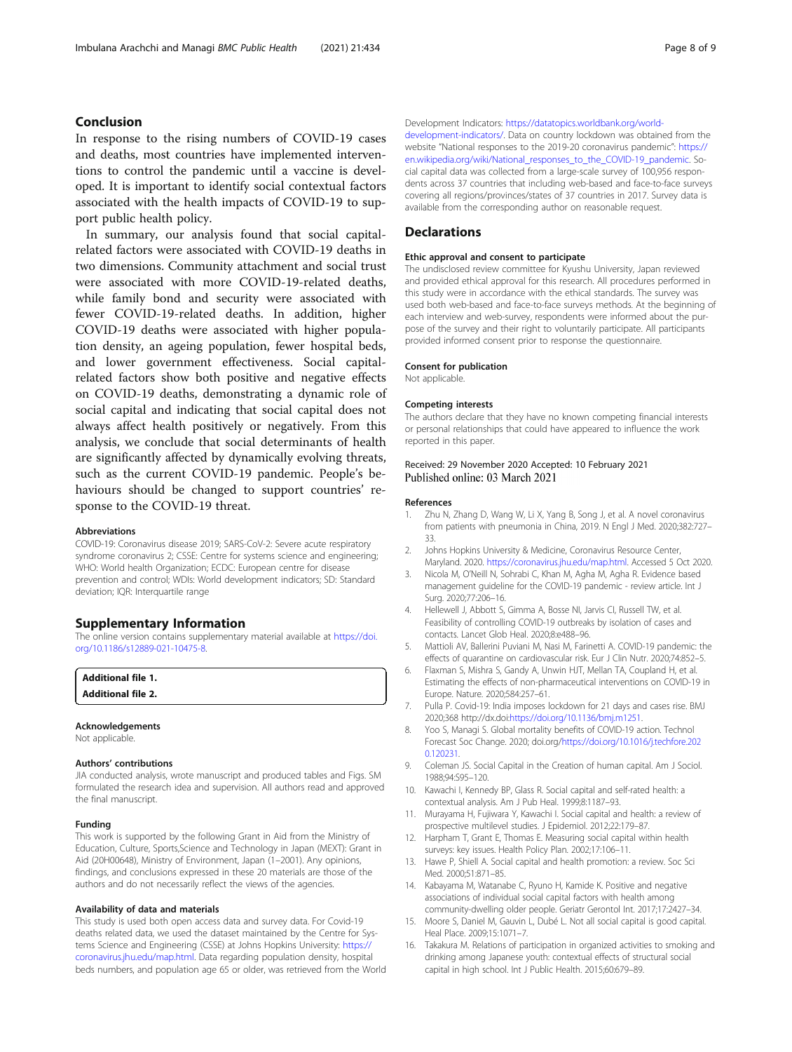# <span id="page-7-0"></span>Conclusion

In response to the rising numbers of COVID-19 cases and deaths, most countries have implemented interventions to control the pandemic until a vaccine is developed. It is important to identify social contextual factors associated with the health impacts of COVID-19 to support public health policy.

In summary, our analysis found that social capitalrelated factors were associated with COVID-19 deaths in two dimensions. Community attachment and social trust were associated with more COVID-19-related deaths, while family bond and security were associated with fewer COVID-19-related deaths. In addition, higher COVID-19 deaths were associated with higher population density, an ageing population, fewer hospital beds, and lower government effectiveness. Social capitalrelated factors show both positive and negative effects on COVID-19 deaths, demonstrating a dynamic role of social capital and indicating that social capital does not always affect health positively or negatively. From this analysis, we conclude that social determinants of health are significantly affected by dynamically evolving threats, such as the current COVID-19 pandemic. People's behaviours should be changed to support countries' response to the COVID-19 threat.

#### Abbreviations

COVID-19: Coronavirus disease 2019; SARS-CoV-2: Severe acute respiratory syndrome coronavirus 2; CSSE: Centre for systems science and engineering; WHO: World health Organization; ECDC: European centre for disease prevention and control; WDIs: World development indicators; SD: Standard deviation; IQR: Interquartile range

#### Supplementary Information

The online version contains supplementary material available at [https://doi.](https://doi.org/10.1186/s12889-021-10475-8) [org/10.1186/s12889-021-10475-8.](https://doi.org/10.1186/s12889-021-10475-8)

| <b>Additional file 1.</b> |  |
|---------------------------|--|
| <b>Additional file 2.</b> |  |
|                           |  |

#### Acknowledgements

Not applicable.

#### Authors' contributions

JIA conducted analysis, wrote manuscript and produced tables and Figs. SM formulated the research idea and supervision. All authors read and approved the final manuscript.

#### Funding

This work is supported by the following Grant in Aid from the Ministry of Education, Culture, Sports,Science and Technology in Japan (MEXT): Grant in Aid (20H00648), Ministry of Environment, Japan (1–2001). Any opinions, findings, and conclusions expressed in these 20 materials are those of the authors and do not necessarily reflect the views of the agencies.

#### Availability of data and materials

This study is used both open access data and survey data. For Covid-19 deaths related data, we used the dataset maintained by the Centre for Systems Science and Engineering (CSSE) at Johns Hopkins University: [https://](https://coronavirus.jhu.edu/map.html) [coronavirus.jhu.edu/map.html](https://coronavirus.jhu.edu/map.html). Data regarding population density, hospital beds numbers, and population age 65 or older, was retrieved from the World Development Indicators: [https://datatopics.worldbank.org/world](https://datatopics.worldbank.org/world-development-indicators/)[development-indicators/.](https://datatopics.worldbank.org/world-development-indicators/) Data on country lockdown was obtained from the website "National responses to the 2019-20 coronavirus pandemic": [https://](https://en.wikipedia.org/wiki/National_responses_to_the_COVID-19_pandemic) [en.wikipedia.org/wiki/National\\_responses\\_to\\_the\\_COVID-19\\_pandemic](https://en.wikipedia.org/wiki/National_responses_to_the_COVID-19_pandemic). Social capital data was collected from a large-scale survey of 100,956 respondents across 37 countries that including web-based and face-to-face surveys covering all regions/provinces/states of 37 countries in 2017. Survey data is available from the corresponding author on reasonable request.

# **Declarations**

#### Ethic approval and consent to participate

The undisclosed review committee for Kyushu University, Japan reviewed and provided ethical approval for this research. All procedures performed in this study were in accordance with the ethical standards. The survey was used both web-based and face-to-face surveys methods. At the beginning of each interview and web-survey, respondents were informed about the purpose of the survey and their right to voluntarily participate. All participants provided informed consent prior to response the questionnaire.

#### Consent for publication

Not applicable.

#### Competing interests

The authors declare that they have no known competing financial interests or personal relationships that could have appeared to influence the work reported in this paper.

## Received: 29 November 2020 Accepted: 10 February 2021 Published online: 03 March 2021

#### References

- 1. Zhu N, Zhang D, Wang W, Li X, Yang B, Song J, et al. A novel coronavirus from patients with pneumonia in China, 2019. N Engl J Med. 2020;382:727– 33.
- 2. Johns Hopkins University & Medicine, Coronavirus Resource Center, Maryland. 2020. [https://coronavirus.jhu.edu/map.html.](https://www.coronavirus.jhu.edu/map.html) Accessed 5 Oct 2020.
- 3. Nicola M, O'Neill N, Sohrabi C, Khan M, Agha M, Agha R. Evidence based management guideline for the COVID-19 pandemic - review article. Int J Surg. 2020;77:206–16.
- 4. Hellewell J, Abbott S, Gimma A, Bosse NI, Jarvis CI, Russell TW, et al. Feasibility of controlling COVID-19 outbreaks by isolation of cases and contacts. Lancet Glob Heal. 2020;8:e488–96.
- 5. Mattioli AV, Ballerini Puviani M, Nasi M, Farinetti A. COVID-19 pandemic: the effects of quarantine on cardiovascular risk. Eur J Clin Nutr. 2020;74:852–5.
- 6. Flaxman S, Mishra S, Gandy A, Unwin HJT, Mellan TA, Coupland H, et al. Estimating the effects of non-pharmaceutical interventions on COVID-19 in Europe. Nature. 2020;584:257–61.
- 7. Pulla P. Covid-19: India imposes lockdown for 21 days and cases rise. BMJ 2020;368 http://dx.doi[:https://doi.org/10.1136/bmj.m1251](https://doi.org/10.1136/bmj.m1251).
- 8. Yoo S, Managi S. Global mortality benefits of COVID-19 action. Technol Forecast Soc Change. 2020; doi.org/[https://doi.org/10.1016/j.techfore.202](https://doi.org/10.1016/j.techfore.2020.120231) [0.120231.](https://doi.org/10.1016/j.techfore.2020.120231)
- 9. Coleman JS. Social Capital in the Creation of human capital. Am J Sociol. 1988;94:S95–120.
- 10. Kawachi I, Kennedy BP, Glass R. Social capital and self-rated health: a contextual analysis. Am J Pub Heal. 1999;8:1187–93.
- 11. Murayama H, Fujiwara Y, Kawachi I. Social capital and health: a review of prospective multilevel studies. J Epidemiol. 2012;22:179–87.
- 12. Harpham T, Grant E, Thomas E. Measuring social capital within health surveys: key issues. Health Policy Plan. 2002;17:106–11.
- 13. Hawe P, Shiell A. Social capital and health promotion: a review. Soc Sci Med. 2000;51:871–85.
- 14. Kabayama M, Watanabe C, Ryuno H, Kamide K. Positive and negative associations of individual social capital factors with health among community-dwelling older people. Geriatr Gerontol Int. 2017;17:2427–34.
- 15. Moore S, Daniel M, Gauvin L, Dubé L. Not all social capital is good capital. Heal Place. 2009;15:1071–7.
- 16. Takakura M. Relations of participation in organized activities to smoking and drinking among Japanese youth: contextual effects of structural social capital in high school. Int J Public Health. 2015;60:679–89.